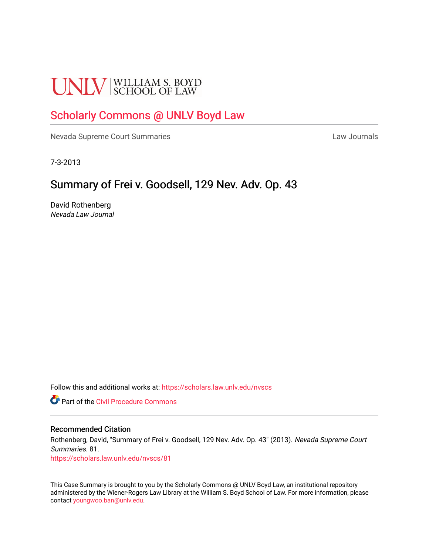# **UNLV** SCHOOL OF LAW

# [Scholarly Commons @ UNLV Boyd Law](https://scholars.law.unlv.edu/)

[Nevada Supreme Court Summaries](https://scholars.law.unlv.edu/nvscs) **Law Journals** Law Journals

7-3-2013

# Summary of Frei v. Goodsell, 129 Nev. Adv. Op. 43

David Rothenberg Nevada Law Journal

Follow this and additional works at: [https://scholars.law.unlv.edu/nvscs](https://scholars.law.unlv.edu/nvscs?utm_source=scholars.law.unlv.edu%2Fnvscs%2F81&utm_medium=PDF&utm_campaign=PDFCoverPages)

**C** Part of the Civil Procedure Commons

#### Recommended Citation

Rothenberg, David, "Summary of Frei v. Goodsell, 129 Nev. Adv. Op. 43" (2013). Nevada Supreme Court Summaries. 81.

[https://scholars.law.unlv.edu/nvscs/81](https://scholars.law.unlv.edu/nvscs/81?utm_source=scholars.law.unlv.edu%2Fnvscs%2F81&utm_medium=PDF&utm_campaign=PDFCoverPages) 

This Case Summary is brought to you by the Scholarly Commons @ UNLV Boyd Law, an institutional repository administered by the Wiener-Rogers Law Library at the William S. Boyd School of Law. For more information, please contact [youngwoo.ban@unlv.edu](mailto:youngwoo.ban@unlv.edu).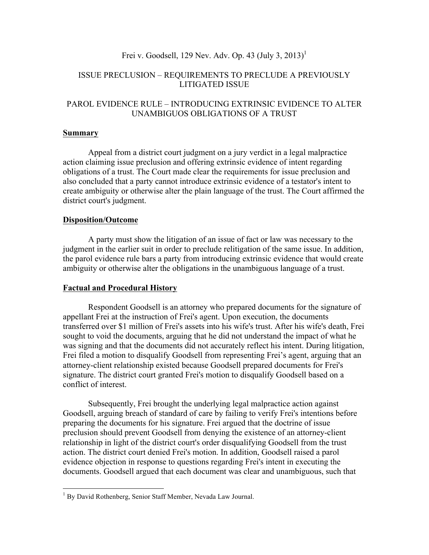# Frei v. Goodsell, 129 Nev. Adv. Op. 43 (July 3, 2013)<sup>1</sup>

## ISSUE PRECLUSION – REQUIREMENTS TO PRECLUDE A PREVIOUSLY LITIGATED ISSUE

## PAROL EVIDENCE RULE – INTRODUCING EXTRINSIC EVIDENCE TO ALTER UNAMBIGUOS OBLIGATIONS OF A TRUST

#### **Summary**

Appeal from a district court judgment on a jury verdict in a legal malpractice action claiming issue preclusion and offering extrinsic evidence of intent regarding obligations of a trust. The Court made clear the requirements for issue preclusion and also concluded that a party cannot introduce extrinsic evidence of a testator's intent to create ambiguity or otherwise alter the plain language of the trust. The Court affirmed the district court's judgment.

#### **Disposition/Outcome**

A party must show the litigation of an issue of fact or law was necessary to the judgment in the earlier suit in order to preclude relitigation of the same issue. In addition, the parol evidence rule bars a party from introducing extrinsic evidence that would create ambiguity or otherwise alter the obligations in the unambiguous language of a trust.

#### **Factual and Procedural History**

Respondent Goodsell is an attorney who prepared documents for the signature of appellant Frei at the instruction of Frei's agent. Upon execution, the documents transferred over \$1 million of Frei's assets into his wife's trust. After his wife's death, Frei sought to void the documents, arguing that he did not understand the impact of what he was signing and that the documents did not accurately reflect his intent. During litigation, Frei filed a motion to disqualify Goodsell from representing Frei's agent, arguing that an attorney-client relationship existed because Goodsell prepared documents for Frei's signature. The district court granted Frei's motion to disqualify Goodsell based on a conflict of interest.

Subsequently, Frei brought the underlying legal malpractice action against Goodsell, arguing breach of standard of care by failing to verify Frei's intentions before preparing the documents for his signature. Frei argued that the doctrine of issue preclusion should prevent Goodsell from denying the existence of an attorney-client relationship in light of the district court's order disqualifying Goodsell from the trust action. The district court denied Frei's motion. In addition, Goodsell raised a parol evidence objection in response to questions regarding Frei's intent in executing the documents. Goodsell argued that each document was clear and unambiguous, such that

<sup>&</sup>lt;sup>1</sup> By David Rothenberg, Senior Staff Member, Nevada Law Journal.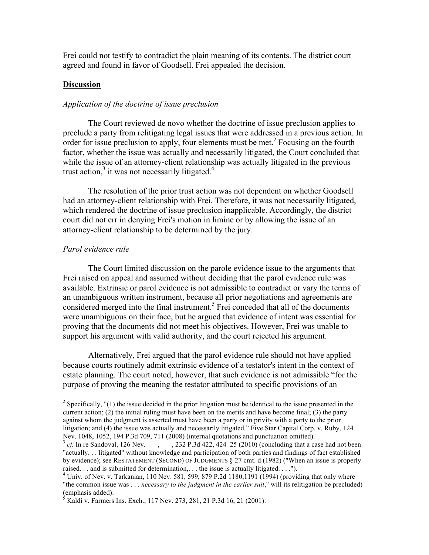Frei could not testify to contradict the plain meaning of its contents. The district court agreed and found in favor of Goodsell. Frei appealed the decision.

#### **Discussion**

## *Application of the doctrine of issue preclusion*

The Court reviewed de novo whether the doctrine of issue preclusion applies to preclude a party from relitigating legal issues that were addressed in a previous action. In order for issue preclusion to apply, four elements must be met.<sup>2</sup> Focusing on the fourth factor, whether the issue was actually and necessarily litigated, the Court concluded that while the issue of an attorney-client relationship was actually litigated in the previous trust action, $3$  it was not necessarily litigated.<sup>4</sup>

The resolution of the prior trust action was not dependent on whether Goodsell had an attorney-client relationship with Frei. Therefore, it was not necessarily litigated, which rendered the doctrine of issue preclusion inapplicable. Accordingly, the district court did not err in denying Frei's motion in limine or by allowing the issue of an attorney-client relationship to be determined by the jury.

#### *Parol evidence rule*

The Court limited discussion on the parole evidence issue to the arguments that Frei raised on appeal and assumed without deciding that the parol evidence rule was available. Extrinsic or parol evidence is not admissible to contradict or vary the terms of an unambiguous written instrument, because all prior negotiations and agreements are considered merged into the final instrument.<sup>5</sup> Frei conceded that all of the documents were unambiguous on their face, but he argued that evidence of intent was essential for proving that the documents did not meet his objectives. However, Frei was unable to support his argument with valid authority, and the court rejected his argument.

Alternatively, Frei argued that the parol evidence rule should not have applied because courts routinely admit extrinsic evidence of a testator's intent in the context of estate planning. The court noted, however, that such evidence is not admissible "for the purpose of proving the meaning the testator attributed to specific provisions of an

<sup>&</sup>lt;sup>2</sup> Specifically, "(1) the issue decided in the prior litigation must be identical to the issue presented in the current action; (2) the initial ruling must have been on the merits and have become final; (3) the party against whom the judgment is asserted must have been a party or in privity with a party to the prior litigation; and (4) the issue was actually and necessarily litigated." Five Star Capital Corp. v. Ruby, 124 Nev. 1048, 1052, 194 P.3d 709, 711 (2008) (internal quotations and punctuation omitted).<br><sup>3</sup> *cf.* In re Sandoval, 126 Nev. \_\_, \_\_\_, 232 P.3d 422, 424–25 (2010) (concluding that a case had not been

<sup>&</sup>quot;actually. . . litigated" without knowledge and participation of both parties and findings of fact established by evidence); see RESTATEMENT (SECOND) OF JUDGMENTS § 27 cmt. d (1982) ("When an issue is properly raised. . . and is submitted for determination,. . . the issue is actually litigated. . . .").<br><sup>4</sup> Univ. of Nev. v. Tarkanian, 110 Nev. 581, 599, 879 P.2d 1180,1191 (1994) (providing that only where

<sup>&</sup>quot;the common issue was . . . *necessary to the judgment in the earlier suit*," will its relitigation be precluded) (emphasis added).

<sup>&</sup>lt;sup>5</sup> Kaldi v. Farmers Ins. Exch., 117 Nev. 273, 281, 21 P.3d 16, 21 (2001).